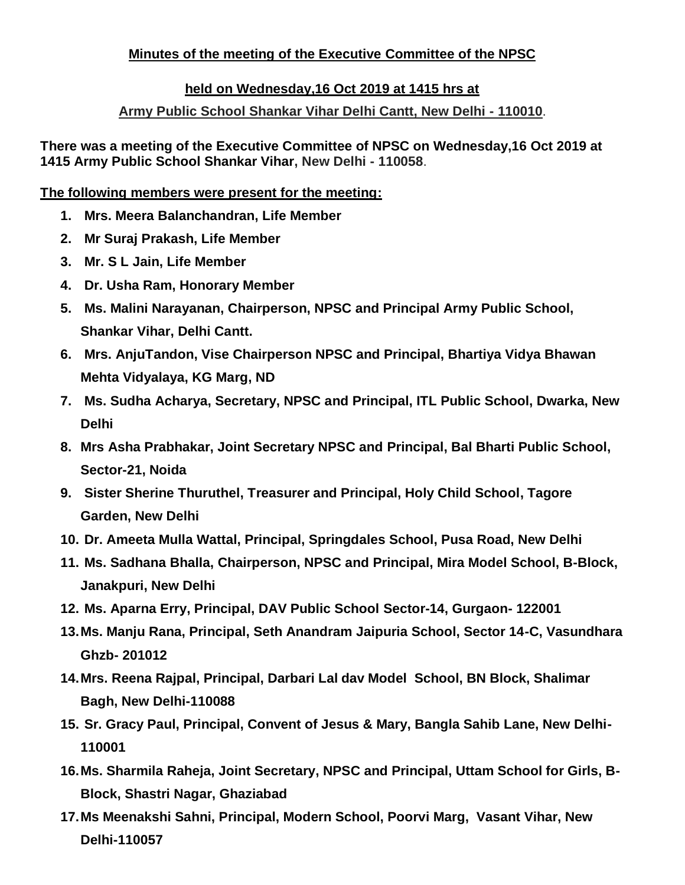# **Minutes of the meeting of the Executive Committee of the NPSC**

### **held on Wednesday,16 Oct 2019 at 1415 hrs at**

### **Army Public School Shankar Vihar Delhi Cantt, New Delhi - 110010**.

**There was a meeting of the Executive Committee of NPSC on Wednesday,16 Oct 2019 at 1415 Army Public School Shankar Vihar, New Delhi - 110058**.

#### **The following members were present for the meeting:**

- **1. Mrs. Meera Balanchandran, Life Member**
- **2. Mr Suraj Prakash, Life Member**
- **3. Mr. S L Jain, Life Member**
- **4. Dr. Usha Ram, Honorary Member**
- **5. Ms. Malini Narayanan, Chairperson, NPSC and Principal Army Public School, Shankar Vihar, Delhi Cantt.**
- **6. Mrs. AnjuTandon, Vise Chairperson NPSC and Principal, Bhartiya Vidya Bhawan Mehta Vidyalaya, KG Marg, ND**
- **7. Ms. Sudha Acharya, Secretary, NPSC and Principal, ITL Public School, Dwarka, New Delhi**
- **8. Mrs Asha Prabhakar, Joint Secretary NPSC and Principal, Bal Bharti Public School, Sector-21, Noida**
- **9. Sister Sherine Thuruthel, Treasurer and Principal, Holy Child School, Tagore Garden, New Delhi**
- **10. Dr. Ameeta Mulla Wattal, Principal, Springdales School, Pusa Road, New Delhi**
- **11. Ms. Sadhana Bhalla, Chairperson, NPSC and Principal, Mira Model School, B-Block, Janakpuri, New Delhi**
- **12. Ms. Aparna Erry, Principal, DAV Public School Sector-14, Gurgaon- 122001**
- **13.Ms. Manju Rana, Principal, Seth Anandram Jaipuria School, Sector 14-C, Vasundhara Ghzb- 201012**
- **14.Mrs. Reena Rajpal, Principal, Darbari Lal dav Model School, BN Block, Shalimar Bagh, New Delhi-110088**
- **15. Sr. Gracy Paul, Principal, Convent of Jesus & Mary, Bangla Sahib Lane, New Delhi-110001**
- **16.Ms. Sharmila Raheja, Joint Secretary, NPSC and Principal, Uttam School for Girls, B-Block, Shastri Nagar, Ghaziabad**
- **17.Ms Meenakshi Sahni, Principal, Modern School, Poorvi Marg, Vasant Vihar, New Delhi-110057**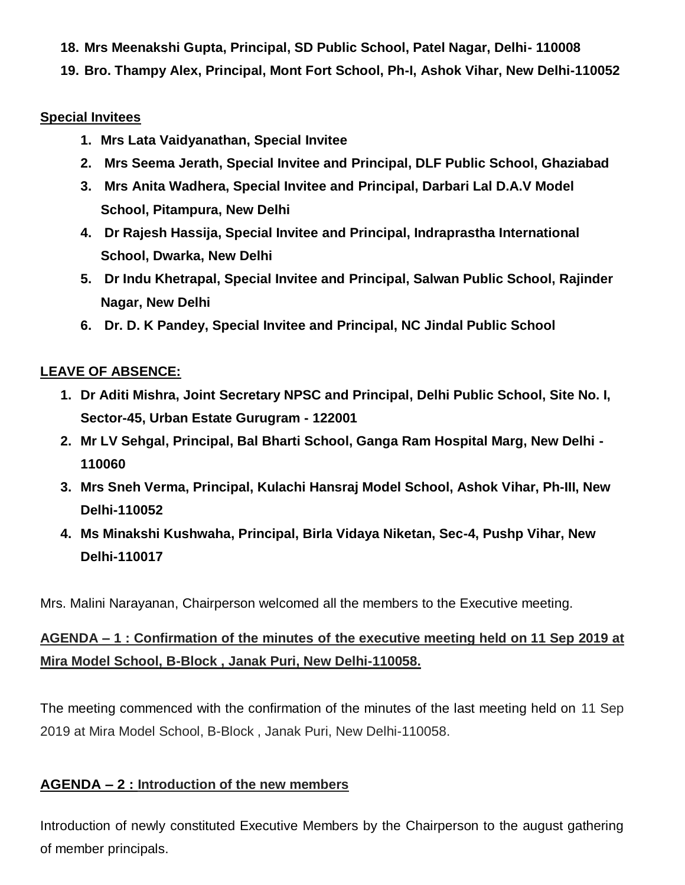- **18. Mrs Meenakshi Gupta, Principal, SD Public School, Patel Nagar, Delhi- 110008**
- **19. Bro. Thampy Alex, Principal, Mont Fort School, Ph-I, Ashok Vihar, New Delhi-110052**

### **Special Invitees**

- **1. Mrs Lata Vaidyanathan, Special Invitee**
- **2. Mrs Seema Jerath, Special Invitee and Principal, DLF Public School, Ghaziabad**
- **3. Mrs Anita Wadhera, Special Invitee and Principal, Darbari Lal D.A.V Model School, Pitampura, New Delhi**
- **4. Dr Rajesh Hassija, Special Invitee and Principal, Indraprastha International School, Dwarka, New Delhi**
- **5. Dr Indu Khetrapal, Special Invitee and Principal, Salwan Public School, Rajinder Nagar, New Delhi**
- **6. Dr. D. K Pandey, Special Invitee and Principal, NC Jindal Public School**

# **LEAVE OF ABSENCE:**

- **1. Dr Aditi Mishra, Joint Secretary NPSC and Principal, Delhi Public School, Site No. I, Sector-45, Urban Estate Gurugram - 122001**
- **2. Mr LV Sehgal, Principal, Bal Bharti School, Ganga Ram Hospital Marg, New Delhi - 110060**
- **3. Mrs Sneh Verma, Principal, Kulachi Hansraj Model School, Ashok Vihar, Ph-III, New Delhi-110052**
- **4. Ms Minakshi Kushwaha, Principal, Birla Vidaya Niketan, Sec-4, Pushp Vihar, New Delhi-110017**

Mrs. Malini Narayanan, Chairperson welcomed all the members to the Executive meeting.

# **AGENDA – 1 : Confirmation of the minutes of the executive meeting held on 11 Sep 2019 at Mira Model School, B-Block , Janak Puri, New Delhi-110058.**

The meeting commenced with the confirmation of the minutes of the last meeting held on 11 Sep 2019 at Mira Model School, B-Block , Janak Puri, New Delhi-110058.

### **AGENDA – 2 : Introduction of the new members**

Introduction of newly constituted Executive Members by the Chairperson to the august gathering of member principals.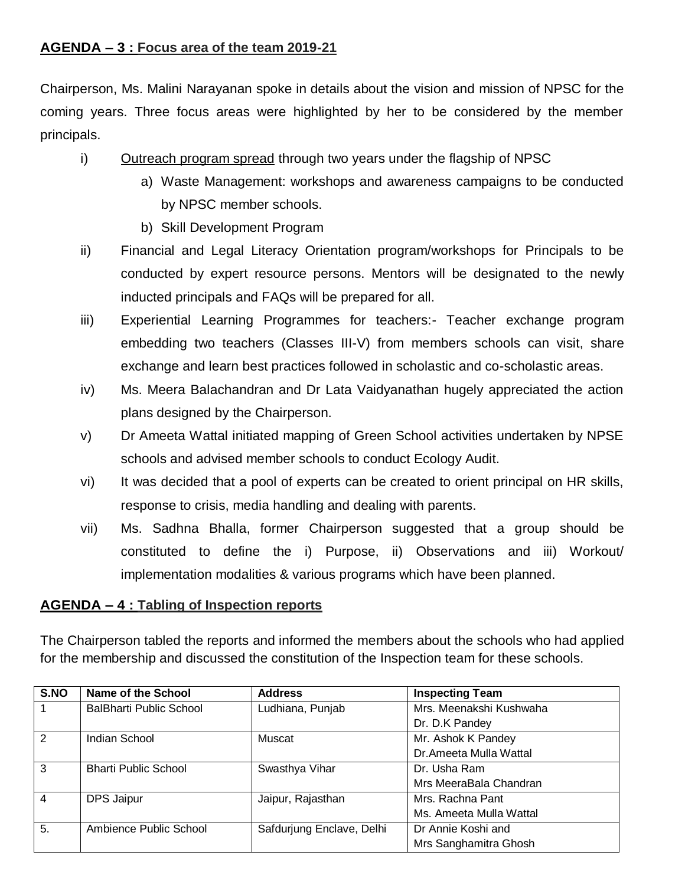### **AGENDA – 3 : Focus area of the team 2019-21**

Chairperson, Ms. Malini Narayanan spoke in details about the vision and mission of NPSC for the coming years. Three focus areas were highlighted by her to be considered by the member principals.

- i) Outreach program spread through two years under the flagship of NPSC
	- a) Waste Management: workshops and awareness campaigns to be conducted by NPSC member schools.
	- b) Skill Development Program
- ii) Financial and Legal Literacy Orientation program/workshops for Principals to be conducted by expert resource persons. Mentors will be designated to the newly inducted principals and FAQs will be prepared for all.
- iii) Experiential Learning Programmes for teachers:- Teacher exchange program embedding two teachers (Classes III-V) from members schools can visit, share exchange and learn best practices followed in scholastic and co-scholastic areas.
- iv) Ms. Meera Balachandran and Dr Lata Vaidyanathan hugely appreciated the action plans designed by the Chairperson.
- v) Dr Ameeta Wattal initiated mapping of Green School activities undertaken by NPSE schools and advised member schools to conduct Ecology Audit.
- vi) It was decided that a pool of experts can be created to orient principal on HR skills, response to crisis, media handling and dealing with parents.
- vii) Ms. Sadhna Bhalla, former Chairperson suggested that a group should be constituted to define the i) Purpose, ii) Observations and iii) Workout/ implementation modalities & various programs which have been planned.

# **AGENDA – 4 : Tabling of Inspection reports**

The Chairperson tabled the reports and informed the members about the schools who had applied for the membership and discussed the constitution of the Inspection team for these schools.

| S.NO           | Name of the School          | <b>Address</b>            | <b>Inspecting Team</b>  |
|----------------|-----------------------------|---------------------------|-------------------------|
|                | BalBharti Public School     | Ludhiana, Punjab          | Mrs. Meenakshi Kushwaha |
|                |                             |                           | Dr. D.K Pandey          |
| 2              | <b>Indian School</b>        | Muscat                    | Mr. Ashok K Pandey      |
|                |                             |                           | Dr. Ameeta Mulla Wattal |
| 3              | <b>Bharti Public School</b> | Swasthya Vihar            | Dr. Usha Ram            |
|                |                             |                           | Mrs MeeraBala Chandran  |
| $\overline{4}$ | <b>DPS Jaipur</b>           | Jaipur, Rajasthan         | Mrs. Rachna Pant        |
|                |                             |                           | Ms. Ameeta Mulla Wattal |
| 5.             | Ambience Public School      | Safdurjung Enclave, Delhi | Dr Annie Koshi and      |
|                |                             |                           | Mrs Sanghamitra Ghosh   |